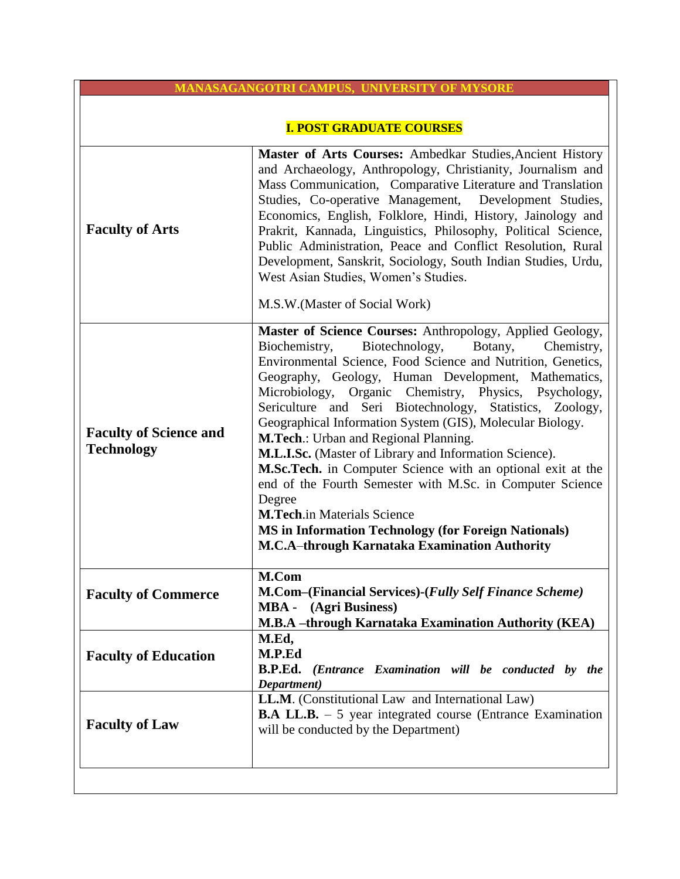| <b>MANASAGANGOTRI CAMPUS, UNIVERSITY OF MYSORE</b> |                                                                                                                                                                                                                                                                                                                                                                                                                                                                                                                                                                                                                                                                                                                                                                                                                               |  |
|----------------------------------------------------|-------------------------------------------------------------------------------------------------------------------------------------------------------------------------------------------------------------------------------------------------------------------------------------------------------------------------------------------------------------------------------------------------------------------------------------------------------------------------------------------------------------------------------------------------------------------------------------------------------------------------------------------------------------------------------------------------------------------------------------------------------------------------------------------------------------------------------|--|
| <b>I. POST GRADUATE COURSES</b>                    |                                                                                                                                                                                                                                                                                                                                                                                                                                                                                                                                                                                                                                                                                                                                                                                                                               |  |
| <b>Faculty of Arts</b>                             | Master of Arts Courses: Ambedkar Studies, Ancient History<br>and Archaeology, Anthropology, Christianity, Journalism and<br>Mass Communication, Comparative Literature and Translation<br>Studies, Co-operative Management, Development Studies,<br>Economics, English, Folklore, Hindi, History, Jainology and<br>Prakrit, Kannada, Linguistics, Philosophy, Political Science,<br>Public Administration, Peace and Conflict Resolution, Rural<br>Development, Sanskrit, Sociology, South Indian Studies, Urdu,<br>West Asian Studies, Women's Studies.<br>M.S.W. (Master of Social Work)                                                                                                                                                                                                                                    |  |
| <b>Faculty of Science and</b><br><b>Technology</b> | Master of Science Courses: Anthropology, Applied Geology,<br>Biotechnology,<br>Biochemistry,<br>Botany,<br>Chemistry,<br>Environmental Science, Food Science and Nutrition, Genetics,<br>Geography, Geology, Human Development, Mathematics,<br>Microbiology, Organic Chemistry, Physics, Psychology,<br>Sericulture and Seri Biotechnology, Statistics, Zoology,<br>Geographical Information System (GIS), Molecular Biology.<br>M.Tech.: Urban and Regional Planning.<br>M.L.I.Sc. (Master of Library and Information Science).<br>M.Sc.Tech. in Computer Science with an optional exit at the<br>end of the Fourth Semester with M.Sc. in Computer Science<br>Degree<br><b>M.Tech.in Materials Science</b><br><b>MS</b> in Information Technology (for Foreign Nationals)<br>M.C.A-through Karnataka Examination Authority |  |
| <b>Faculty of Commerce</b>                         | M.Com<br>M.Com-(Financial Services)-(Fully Self Finance Scheme)<br>(Agri Business)<br><b>MBA</b> -<br>M.B.A -through Karnataka Examination Authority (KEA)                                                                                                                                                                                                                                                                                                                                                                                                                                                                                                                                                                                                                                                                    |  |
| <b>Faculty of Education</b>                        | M.Ed,<br>M.P.Ed<br><b>B.P.Ed.</b> (Entrance Examination will be conducted by the<br>Department)                                                                                                                                                                                                                                                                                                                                                                                                                                                                                                                                                                                                                                                                                                                               |  |
| <b>Faculty of Law</b>                              | <b>LL.M.</b> (Constitutional Law and International Law)<br><b>B.A LL.B.</b> – 5 year integrated course (Entrance Examination<br>will be conducted by the Department)                                                                                                                                                                                                                                                                                                                                                                                                                                                                                                                                                                                                                                                          |  |
|                                                    |                                                                                                                                                                                                                                                                                                                                                                                                                                                                                                                                                                                                                                                                                                                                                                                                                               |  |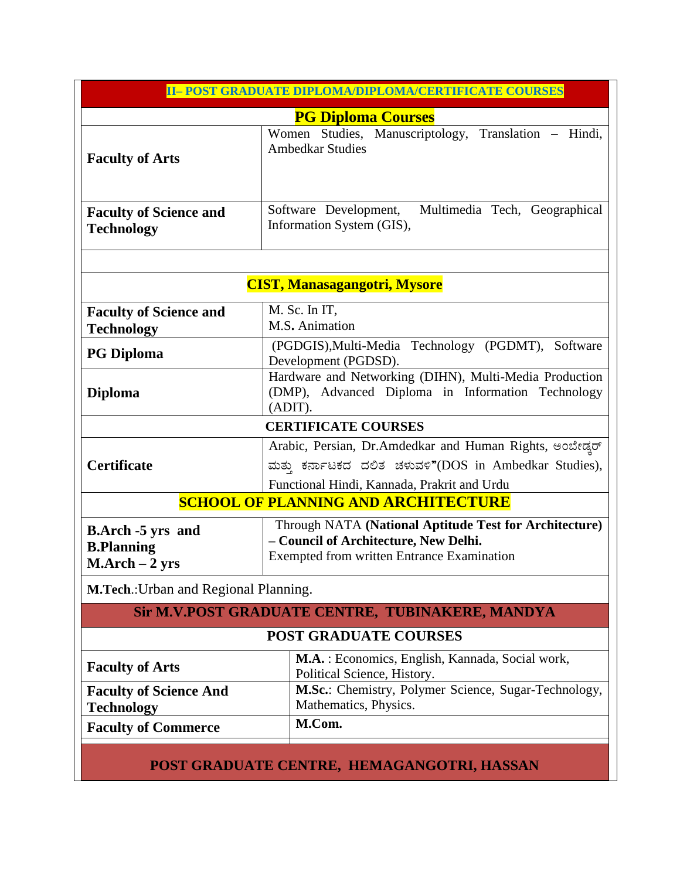| II-POST GRADUATE DIPLOMA/DIPLOMA/CERTIFICATE COURSES              |                                                                                                                                                               |  |  |
|-------------------------------------------------------------------|---------------------------------------------------------------------------------------------------------------------------------------------------------------|--|--|
|                                                                   | <b>PG Diploma Courses</b>                                                                                                                                     |  |  |
| <b>Faculty of Arts</b>                                            | Women Studies, Manuscriptology, Translation - Hindi,<br><b>Ambedkar Studies</b>                                                                               |  |  |
| <b>Faculty of Science and</b><br><b>Technology</b>                | Software Development, Multimedia Tech, Geographical<br>Information System (GIS),                                                                              |  |  |
|                                                                   | <b>CIST, Manasagangotri, Mysore</b>                                                                                                                           |  |  |
| <b>Faculty of Science and</b><br><b>Technology</b>                | M. Sc. In IT,<br>M.S. Animation                                                                                                                               |  |  |
| <b>PG Diploma</b>                                                 | (PGDGIS), Multi-Media Technology (PGDMT), Software<br>Development (PGDSD).                                                                                    |  |  |
| <b>Diploma</b>                                                    | Hardware and Networking (DIHN), Multi-Media Production<br>(DMP), Advanced Diploma in Information Technology<br>(ADIT).                                        |  |  |
|                                                                   | <b>CERTIFICATE COURSES</b>                                                                                                                                    |  |  |
| <b>Certificate</b>                                                | Arabic, Persian, Dr.Amdedkar and Human Rights, అంబీణు<br>ಮತ್ತು ಕರ್ನಾಟಕದ ದಲಿತ ಚಳುವಳಿ"(DOS in Ambedkar Studies),<br>Functional Hindi, Kannada, Prakrit and Urdu |  |  |
|                                                                   | <b>SCHOOL OF PLANNING AND ARCHITECTURE</b>                                                                                                                    |  |  |
| <b>B.Arch -5 yrs and</b><br><b>B.Planning</b><br>$M.Arch - 2 yrs$ | Through NATA (National Aptitude Test for Architecture)<br>- Council of Architecture, New Delhi.<br><b>Exempted from written Entrance Examination</b>          |  |  |
| M.Tech.: Urban and Regional Planning.                             |                                                                                                                                                               |  |  |
|                                                                   | Sir M.V.POST GRADUATE CENTRE, TUBINAKERE, MANDYA                                                                                                              |  |  |
|                                                                   | <b>POST GRADUATE COURSES</b>                                                                                                                                  |  |  |
| <b>Faculty of Arts</b>                                            | M.A. : Economics, English, Kannada, Social work,<br>Political Science, History.                                                                               |  |  |
| <b>Faculty of Science And</b><br><b>Technology</b>                | M.Sc.: Chemistry, Polymer Science, Sugar-Technology,<br>Mathematics, Physics.                                                                                 |  |  |
| <b>Faculty of Commerce</b>                                        | M.Com.                                                                                                                                                        |  |  |

**POST GRADUATE CENTRE, HEMAGANGOTRI, HASSAN**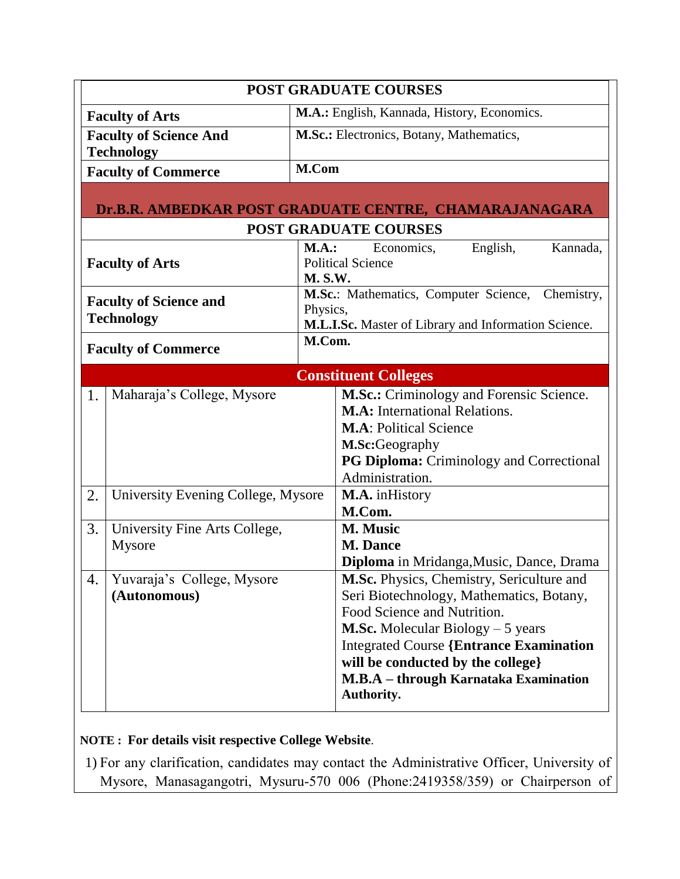|                                                    |                                                                       | <b>POST GRADUATE COURSES</b>                                                                                                                                                                                                                                                                                    |
|----------------------------------------------------|-----------------------------------------------------------------------|-----------------------------------------------------------------------------------------------------------------------------------------------------------------------------------------------------------------------------------------------------------------------------------------------------------------|
|                                                    | M.A.: English, Kannada, History, Economics.<br><b>Faculty of Arts</b> |                                                                                                                                                                                                                                                                                                                 |
|                                                    | <b>Faculty of Science And</b><br><b>Technology</b>                    | M.Sc.: Electronics, Botany, Mathematics,                                                                                                                                                                                                                                                                        |
|                                                    | <b>Faculty of Commerce</b>                                            | M.Com                                                                                                                                                                                                                                                                                                           |
|                                                    |                                                                       | Dr.B.R. AMBEDKAR POST GRADUATE CENTRE, CHAMARAJANAGARA                                                                                                                                                                                                                                                          |
|                                                    |                                                                       | <b>POST GRADUATE COURSES</b>                                                                                                                                                                                                                                                                                    |
|                                                    | <b>Faculty of Arts</b>                                                | <b>M.A.:</b><br>Economics,<br>English,<br>Kannada,<br><b>Political Science</b><br><b>M. S.W.</b>                                                                                                                                                                                                                |
| <b>Faculty of Science and</b><br><b>Technology</b> |                                                                       | M.Sc.: Mathematics, Computer Science,<br>Chemistry,<br>Physics,<br>M.L.I.Sc. Master of Library and Information Science.                                                                                                                                                                                         |
|                                                    | <b>Faculty of Commerce</b>                                            | M.Com.                                                                                                                                                                                                                                                                                                          |
|                                                    |                                                                       | <b>Constituent Colleges</b>                                                                                                                                                                                                                                                                                     |
| 1.                                                 | Maharaja's College, Mysore                                            | M.Sc.: Criminology and Forensic Science.<br><b>M.A:</b> International Relations.<br><b>M.A: Political Science</b><br>M.Sc:Geography<br>PG Diploma: Criminology and Correctional<br>Administration.                                                                                                              |
| 2.                                                 | University Evening College, Mysore                                    | M.A. inHistory<br>M.Com.                                                                                                                                                                                                                                                                                        |
| 3.                                                 | University Fine Arts College,<br>Mysore                               | M. Music<br><b>M. Dance</b><br>Diploma in Mridanga, Music, Dance, Drama                                                                                                                                                                                                                                         |
| 4.                                                 | Yuvaraja's College, Mysore<br>(Autonomous)                            | M.Sc. Physics, Chemistry, Sericulture and<br>Seri Biotechnology, Mathematics, Botany,<br>Food Science and Nutrition.<br><b>M.Sc.</b> Molecular Biology $-5$ years<br><b>Integrated Course {Entrance Examination</b><br>will be conducted by the college}<br>M.B.A - through Karnataka Examination<br>Authority. |

# **NOTE : For details visit respective College Website**.

1) For any clarification, candidates may contact the Administrative Officer, University of Mysore, Manasagangotri, Mysuru-570 006 (Phone:2419358/359) or Chairperson of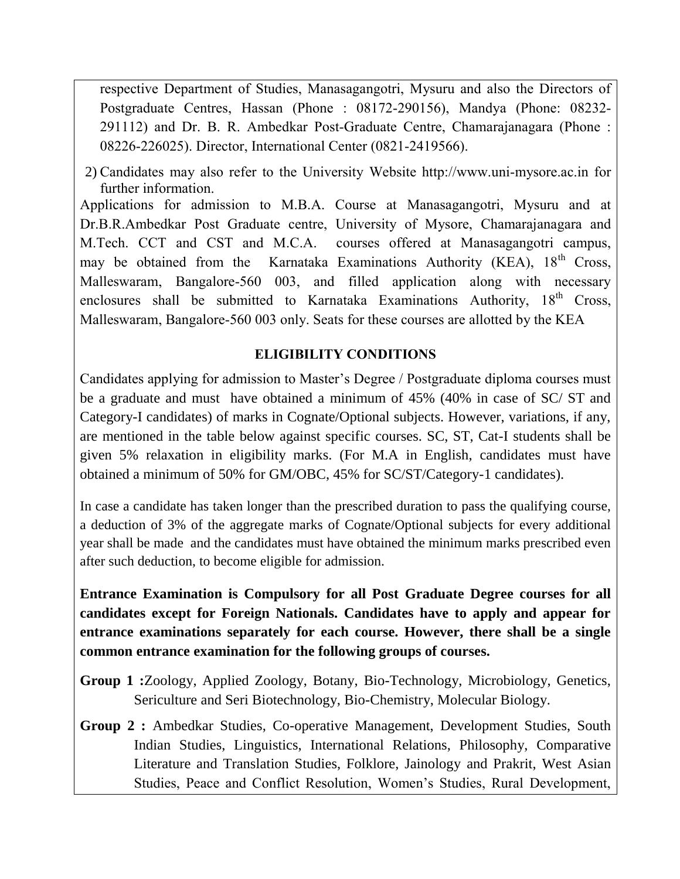respective Department of Studies, Manasagangotri, Mysuru and also the Directors of Postgraduate Centres, Hassan (Phone : 08172-290156), Mandya (Phone: 08232- 291112) and Dr. B. R. Ambedkar Post-Graduate Centre, Chamarajanagara (Phone : 08226-226025). Director, International Center (0821-2419566).

2) Candidates may also refer to the University Website http://www.uni-mysore.ac.in for further information.

Applications for admission to M.B.A. Course at Manasagangotri, Mysuru and at Dr.B.R.Ambedkar Post Graduate centre, University of Mysore, Chamarajanagara and M.Tech. CCT and CST and M.C.A. courses offered at Manasagangotri campus, may be obtained from the Karnataka Examinations Authority (KEA), 18<sup>th</sup> Cross, Malleswaram, Bangalore-560 003, and filled application along with necessary enclosures shall be submitted to Karnataka Examinations Authority,  $18<sup>th</sup>$  Cross, Malleswaram, Bangalore-560 003 only. Seats for these courses are allotted by the KEA

## **ELIGIBILITY CONDITIONS**

Candidates applying for admission to Master's Degree / Postgraduate diploma courses must be a graduate and must have obtained a minimum of 45% (40% in case of SC/ ST and Category-I candidates) of marks in Cognate/Optional subjects. However, variations, if any, are mentioned in the table below against specific courses. SC, ST, Cat-I students shall be given 5% relaxation in eligibility marks. (For M.A in English, candidates must have obtained a minimum of 50% for GM/OBC, 45% for SC/ST/Category-1 candidates).

In case a candidate has taken longer than the prescribed duration to pass the qualifying course, a deduction of 3% of the aggregate marks of Cognate/Optional subjects for every additional year shall be made and the candidates must have obtained the minimum marks prescribed even after such deduction, to become eligible for admission.

**Entrance Examination is Compulsory for all Post Graduate Degree courses for all candidates except for Foreign Nationals. Candidates have to apply and appear for entrance examinations separately for each course. However, there shall be a single common entrance examination for the following groups of courses.**

- **Group 1 :**Zoology, Applied Zoology, Botany, Bio-Technology, Microbiology, Genetics, Sericulture and Seri Biotechnology, Bio-Chemistry, Molecular Biology.
- **Group 2 :** Ambedkar Studies, Co-operative Management, Development Studies, South Indian Studies, Linguistics, International Relations, Philosophy, Comparative Literature and Translation Studies, Folklore, Jainology and Prakrit, West Asian Studies, Peace and Conflict Resolution, Women's Studies, Rural Development,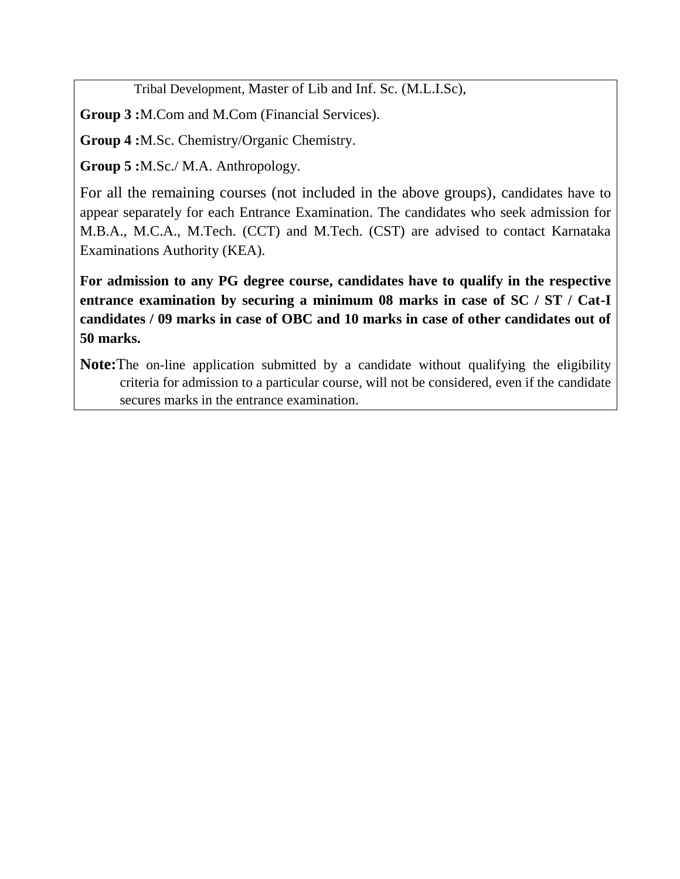Tribal Development, Master of Lib and Inf. Sc. (M.L.I.Sc),

**Group 3 :**M.Com and M.Com (Financial Services).

**Group 4 :**M.Sc. Chemistry/Organic Chemistry.

**Group 5 :**M.Sc./ M.A. Anthropology.

For all the remaining courses (not included in the above groups), candidates have to appear separately for each Entrance Examination. The candidates who seek admission for M.B.A., M.C.A., M.Tech. (CCT) and M.Tech. (CST) are advised to contact Karnataka Examinations Authority (KEA).

**For admission to any PG degree course, candidates have to qualify in the respective entrance examination by securing a minimum 08 marks in case of SC / ST / Cat-I candidates / 09 marks in case of OBC and 10 marks in case of other candidates out of 50 marks.**

**Note:**The on-line application submitted by a candidate without qualifying the eligibility criteria for admission to a particular course, will not be considered, even if the candidate secures marks in the entrance examination.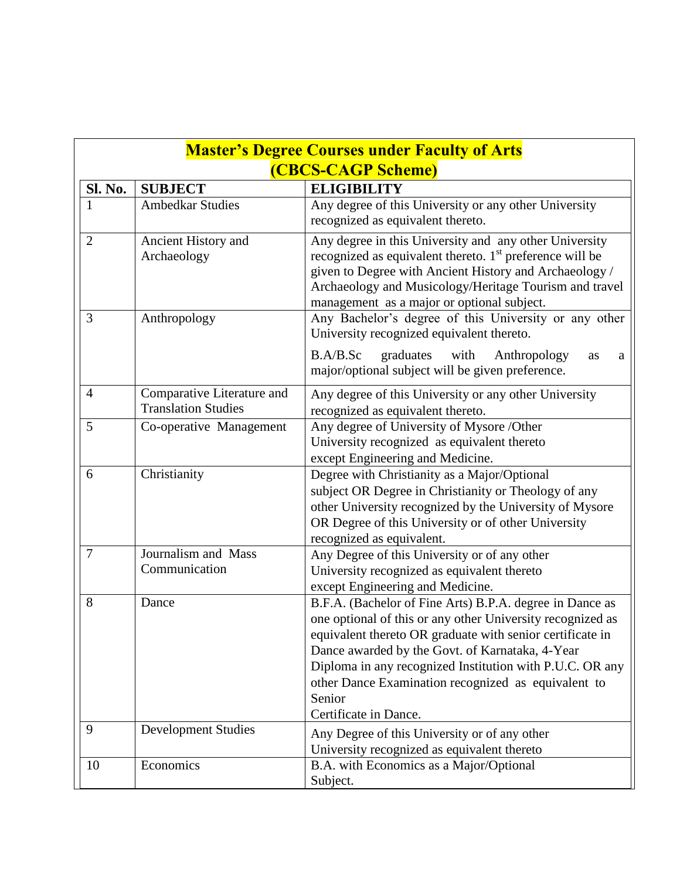| <b>Master's Degree Courses under Faculty of Arts</b> |                                                          |                                                                                                                                                                                                                                                                                                                                                                                              |  |
|------------------------------------------------------|----------------------------------------------------------|----------------------------------------------------------------------------------------------------------------------------------------------------------------------------------------------------------------------------------------------------------------------------------------------------------------------------------------------------------------------------------------------|--|
|                                                      | (CBCS-CAGP Scheme)                                       |                                                                                                                                                                                                                                                                                                                                                                                              |  |
| Sl. No.                                              | <b>SUBJECT</b>                                           | <b>ELIGIBILITY</b>                                                                                                                                                                                                                                                                                                                                                                           |  |
| 1                                                    | <b>Ambedkar Studies</b>                                  | Any degree of this University or any other University<br>recognized as equivalent thereto.                                                                                                                                                                                                                                                                                                   |  |
| $\overline{2}$                                       | Ancient History and<br>Archaeology                       | Any degree in this University and any other University<br>recognized as equivalent thereto. $1st$ preference will be<br>given to Degree with Ancient History and Archaeology /<br>Archaeology and Musicology/Heritage Tourism and travel<br>management as a major or optional subject.                                                                                                       |  |
| 3                                                    | Anthropology                                             | Any Bachelor's degree of this University or any other<br>University recognized equivalent thereto.                                                                                                                                                                                                                                                                                           |  |
|                                                      |                                                          | graduates with<br>B.A/B.Sc<br>Anthropology<br>as<br>a<br>major/optional subject will be given preference.                                                                                                                                                                                                                                                                                    |  |
| $\overline{4}$                                       | Comparative Literature and<br><b>Translation Studies</b> | Any degree of this University or any other University<br>recognized as equivalent thereto.                                                                                                                                                                                                                                                                                                   |  |
| 5                                                    | Co-operative Management                                  | Any degree of University of Mysore /Other<br>University recognized as equivalent thereto<br>except Engineering and Medicine.                                                                                                                                                                                                                                                                 |  |
| 6                                                    | Christianity                                             | Degree with Christianity as a Major/Optional<br>subject OR Degree in Christianity or Theology of any<br>other University recognized by the University of Mysore<br>OR Degree of this University or of other University<br>recognized as equivalent.                                                                                                                                          |  |
| $\overline{7}$                                       | Journalism and Mass<br>Communication                     | Any Degree of this University or of any other<br>University recognized as equivalent thereto<br>except Engineering and Medicine.                                                                                                                                                                                                                                                             |  |
| 8                                                    | Dance                                                    | B.F.A. (Bachelor of Fine Arts) B.P.A. degree in Dance as<br>one optional of this or any other University recognized as<br>equivalent thereto OR graduate with senior certificate in<br>Dance awarded by the Govt. of Karnataka, 4-Year<br>Diploma in any recognized Institution with P.U.C. OR any<br>other Dance Examination recognized as equivalent to<br>Senior<br>Certificate in Dance. |  |
| 9                                                    | <b>Development Studies</b>                               | Any Degree of this University or of any other<br>University recognized as equivalent thereto                                                                                                                                                                                                                                                                                                 |  |
| 10                                                   | Economics                                                | B.A. with Economics as a Major/Optional<br>Subject.                                                                                                                                                                                                                                                                                                                                          |  |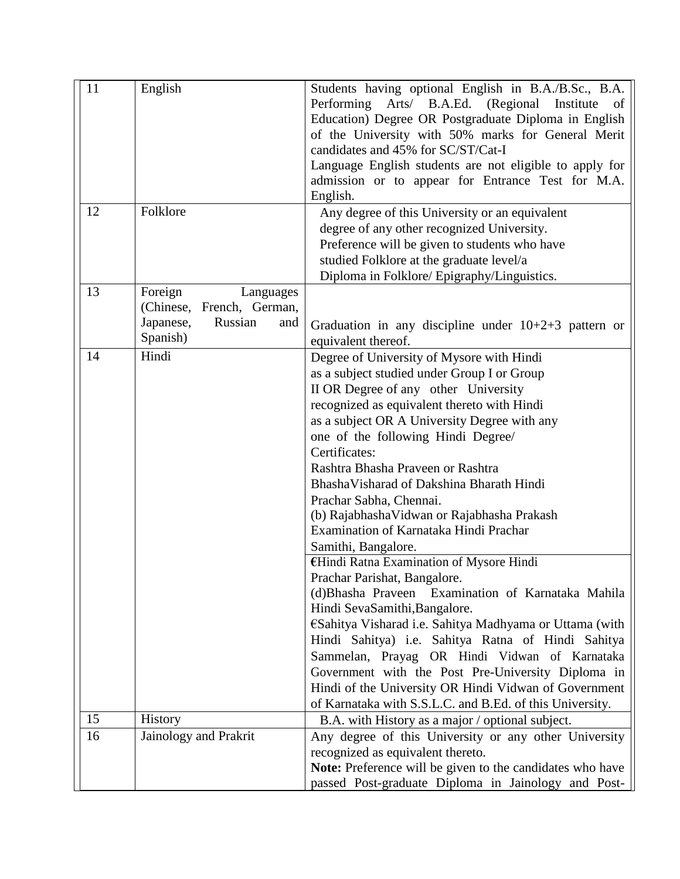| 11<br>12 | English<br>Folklore                                                                             | Students having optional English in B.A./B.Sc., B.A.<br>Performing Arts/ B.A.Ed. (Regional<br>Institute<br>of<br>Education) Degree OR Postgraduate Diploma in English<br>of the University with 50% marks for General Merit<br>candidates and 45% for SC/ST/Cat-I<br>Language English students are not eligible to apply for<br>admission or to appear for Entrance Test for M.A.<br>English.<br>Any degree of this University or an equivalent                                                                                                                                                                                                                                                                                                                                                                                                                                                                                                                                                                                   |
|----------|-------------------------------------------------------------------------------------------------|-----------------------------------------------------------------------------------------------------------------------------------------------------------------------------------------------------------------------------------------------------------------------------------------------------------------------------------------------------------------------------------------------------------------------------------------------------------------------------------------------------------------------------------------------------------------------------------------------------------------------------------------------------------------------------------------------------------------------------------------------------------------------------------------------------------------------------------------------------------------------------------------------------------------------------------------------------------------------------------------------------------------------------------|
|          |                                                                                                 | degree of any other recognized University.<br>Preference will be given to students who have<br>studied Folklore at the graduate level/a<br>Diploma in Folklore/ Epigraphy/Linguistics.                                                                                                                                                                                                                                                                                                                                                                                                                                                                                                                                                                                                                                                                                                                                                                                                                                            |
| 13       | Foreign<br>Languages<br>(Chinese,<br>French, German,<br>Japanese,<br>Russian<br>and<br>Spanish) | Graduation in any discipline under $10+2+3$ pattern or<br>equivalent thereof.                                                                                                                                                                                                                                                                                                                                                                                                                                                                                                                                                                                                                                                                                                                                                                                                                                                                                                                                                     |
| 14       | Hindi                                                                                           | Degree of University of Mysore with Hindi<br>as a subject studied under Group I or Group<br>II OR Degree of any other University<br>recognized as equivalent thereto with Hindi<br>as a subject OR A University Degree with any<br>one of the following Hindi Degree/<br>Certificates:<br>Rashtra Bhasha Praveen or Rashtra<br>BhashaVisharad of Dakshina Bharath Hindi<br>Prachar Sabha, Chennai.<br>(b) Rajabhasha Vidwan or Rajabhasha Prakash<br>Examination of Karnataka Hindi Prachar<br>Samithi, Bangalore.<br>€Hindi Ratna Examination of Mysore Hindi<br>Prachar Parishat, Bangalore.<br>(d)Bhasha Praveen Examination of Karnataka Mahila<br>Hindi SevaSamithi, Bangalore.<br>€Sahitya Visharad i.e. Sahitya Madhyama or Uttama (with<br>Hindi Sahitya) i.e. Sahitya Ratna of Hindi Sahitya<br>Sammelan, Prayag OR Hindi Vidwan of Karnataka<br>Government with the Post Pre-University Diploma in<br>Hindi of the University OR Hindi Vidwan of Government<br>of Karnataka with S.S.L.C. and B.Ed. of this University. |
| 15       | <b>History</b>                                                                                  | B.A. with History as a major / optional subject.                                                                                                                                                                                                                                                                                                                                                                                                                                                                                                                                                                                                                                                                                                                                                                                                                                                                                                                                                                                  |
| 16       | Jainology and Prakrit                                                                           | Any degree of this University or any other University<br>recognized as equivalent thereto.<br>Note: Preference will be given to the candidates who have<br>passed Post-graduate Diploma in Jainology and Post-                                                                                                                                                                                                                                                                                                                                                                                                                                                                                                                                                                                                                                                                                                                                                                                                                    |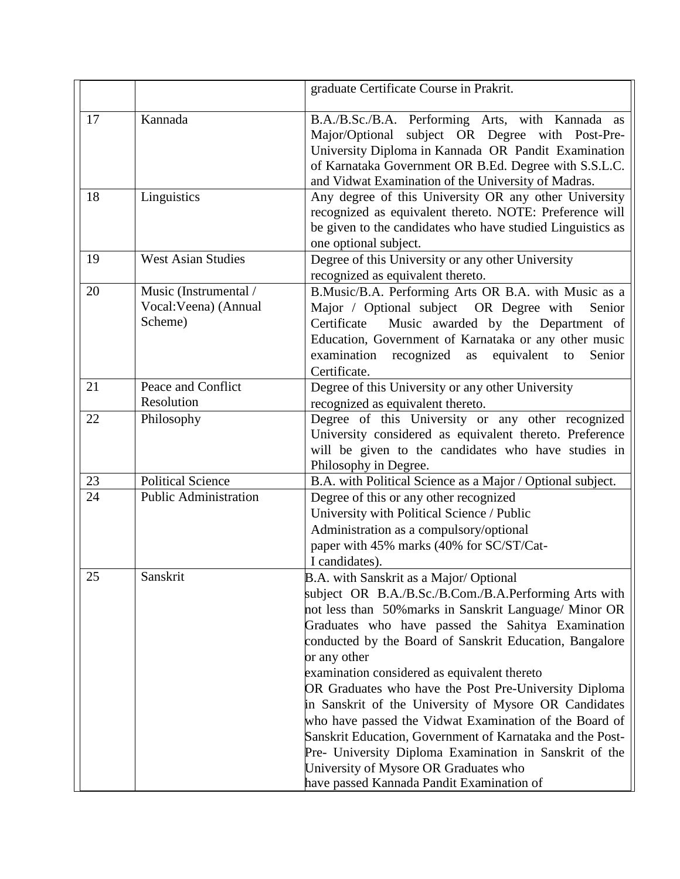|    |                                                           | graduate Certificate Course in Prakrit.                                                                                                                                                                                                                                                                                                                                                                                                                                                                                                                                                                                                                                                                                             |
|----|-----------------------------------------------------------|-------------------------------------------------------------------------------------------------------------------------------------------------------------------------------------------------------------------------------------------------------------------------------------------------------------------------------------------------------------------------------------------------------------------------------------------------------------------------------------------------------------------------------------------------------------------------------------------------------------------------------------------------------------------------------------------------------------------------------------|
| 17 | Kannada                                                   | B.A./B.Sc./B.A. Performing Arts, with Kannada as<br>Major/Optional subject OR Degree with Post-Pre-<br>University Diploma in Kannada OR Pandit Examination<br>of Karnataka Government OR B.Ed. Degree with S.S.L.C.<br>and Vidwat Examination of the University of Madras.                                                                                                                                                                                                                                                                                                                                                                                                                                                          |
| 18 | Linguistics                                               | Any degree of this University OR any other University<br>recognized as equivalent thereto. NOTE: Preference will<br>be given to the candidates who have studied Linguistics as<br>one optional subject.                                                                                                                                                                                                                                                                                                                                                                                                                                                                                                                             |
| 19 | <b>West Asian Studies</b>                                 | Degree of this University or any other University<br>recognized as equivalent thereto.                                                                                                                                                                                                                                                                                                                                                                                                                                                                                                                                                                                                                                              |
| 20 | Music (Instrumental /<br>Vocal: Veena) (Annual<br>Scheme) | B.Music/B.A. Performing Arts OR B.A. with Music as a<br>Major / Optional subject OR Degree with<br>Senior<br>Certificate<br>Music awarded by the Department of<br>Education, Government of Karnataka or any other music<br>examination recognized<br>equivalent<br>as<br>to<br>Senior<br>Certificate.                                                                                                                                                                                                                                                                                                                                                                                                                               |
| 21 | Peace and Conflict<br>Resolution                          | Degree of this University or any other University<br>recognized as equivalent thereto.                                                                                                                                                                                                                                                                                                                                                                                                                                                                                                                                                                                                                                              |
| 22 | Philosophy                                                | Degree of this University or any other recognized<br>University considered as equivalent thereto. Preference<br>will be given to the candidates who have studies in<br>Philosophy in Degree.                                                                                                                                                                                                                                                                                                                                                                                                                                                                                                                                        |
| 23 | <b>Political Science</b>                                  | B.A. with Political Science as a Major / Optional subject.                                                                                                                                                                                                                                                                                                                                                                                                                                                                                                                                                                                                                                                                          |
| 24 | Public Administration                                     | Degree of this or any other recognized<br>University with Political Science / Public<br>Administration as a compulsory/optional<br>paper with 45% marks (40% for SC/ST/Cat-<br>I candidates).                                                                                                                                                                                                                                                                                                                                                                                                                                                                                                                                       |
| 25 | Sanskrit                                                  | B.A. with Sanskrit as a Major/ Optional<br>subject OR B.A./B.Sc./B.Com./B.A.Performing Arts with<br>not less than 50% marks in Sanskrit Language/ Minor OR<br>Graduates who have passed the Sahitya Examination<br>conducted by the Board of Sanskrit Education, Bangalore<br>or any other<br>examination considered as equivalent thereto<br>OR Graduates who have the Post Pre-University Diploma<br>in Sanskrit of the University of Mysore OR Candidates<br>who have passed the Vidwat Examination of the Board of<br>Sanskrit Education, Government of Karnataka and the Post-<br>Pre- University Diploma Examination in Sanskrit of the<br>University of Mysore OR Graduates who<br>have passed Kannada Pandit Examination of |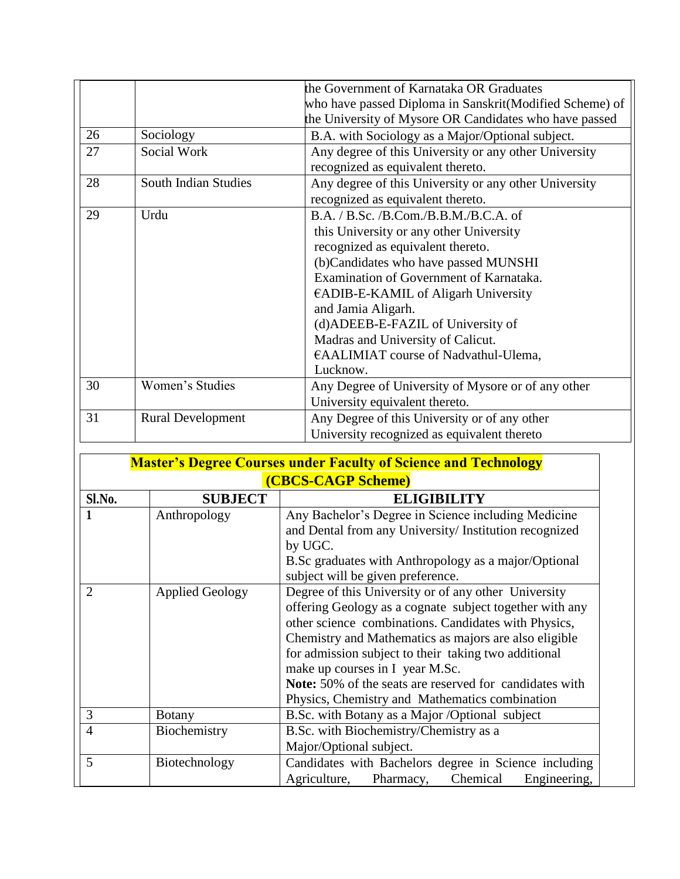|    |                             | the Government of Karnataka OR Graduates                 |
|----|-----------------------------|----------------------------------------------------------|
|    |                             | who have passed Diploma in Sanskrit (Modified Scheme) of |
|    |                             | the University of Mysore OR Candidates who have passed   |
| 26 | Sociology                   | B.A. with Sociology as a Major/Optional subject.         |
| 27 | Social Work                 | Any degree of this University or any other University    |
|    |                             | recognized as equivalent thereto.                        |
| 28 | <b>South Indian Studies</b> | Any degree of this University or any other University    |
|    |                             | recognized as equivalent thereto.                        |
| 29 | Urdu                        | B.A. / B.Sc. / B.Com./ B.B.M./ B.C.A. of                 |
|    |                             | this University or any other University                  |
|    |                             | recognized as equivalent thereto.                        |
|    |                             | (b)Candidates who have passed MUNSHI                     |
|    |                             | Examination of Government of Karnataka.                  |
|    |                             | €ADIB-E-KAMIL of Aligarh University                      |
|    |                             | and Jamia Aligarh.                                       |
|    |                             | (d)ADEEB-E-FAZIL of University of                        |
|    |                             | Madras and University of Calicut.                        |
|    |                             | €AALIMIAT course of Nadvathul-Ulema,                     |
|    |                             | Lucknow.                                                 |
| 30 | Women's Studies             | Any Degree of University of Mysore or of any other       |
|    |                             | University equivalent thereto.                           |
| 31 | <b>Rural Development</b>    | Any Degree of this University or of any other            |
|    |                             | University recognized as equivalent thereto              |

| <b>Master's Degree Courses under Faculty of Science and Technology</b> |                        |                                                                                                                |  |
|------------------------------------------------------------------------|------------------------|----------------------------------------------------------------------------------------------------------------|--|
|                                                                        | (CBCS-CAGP Scheme)     |                                                                                                                |  |
| Sl.No.                                                                 | <b>SUBJECT</b>         | <b>ELIGIBILITY</b>                                                                                             |  |
|                                                                        | Anthropology           | Any Bachelor's Degree in Science including Medicine                                                            |  |
|                                                                        |                        | and Dental from any University/Institution recognized<br>by UGC.                                               |  |
|                                                                        |                        | B.Sc graduates with Anthropology as a major/Optional<br>subject will be given preference.                      |  |
| $\overline{2}$                                                         | <b>Applied Geology</b> | Degree of this University or of any other University                                                           |  |
|                                                                        |                        | offering Geology as a cognate subject together with any                                                        |  |
|                                                                        |                        | other science combinations. Candidates with Physics,                                                           |  |
|                                                                        |                        | Chemistry and Mathematics as majors are also eligible                                                          |  |
|                                                                        |                        | for admission subject to their taking two additional                                                           |  |
|                                                                        |                        | make up courses in I year M.Sc.                                                                                |  |
|                                                                        |                        | <b>Note:</b> 50% of the seats are reserved for candidates with                                                 |  |
|                                                                        |                        | Physics, Chemistry and Mathematics combination                                                                 |  |
| 3                                                                      | <b>Botany</b>          | B.Sc. with Botany as a Major /Optional subject                                                                 |  |
| $\overline{4}$                                                         | Biochemistry           | B.Sc. with Biochemistry/Chemistry as a                                                                         |  |
|                                                                        |                        | Major/Optional subject.                                                                                        |  |
| 5                                                                      | Biotechnology          | Candidates with Bachelors degree in Science including<br>Agriculture,<br>Chemical<br>Engineering,<br>Pharmacy, |  |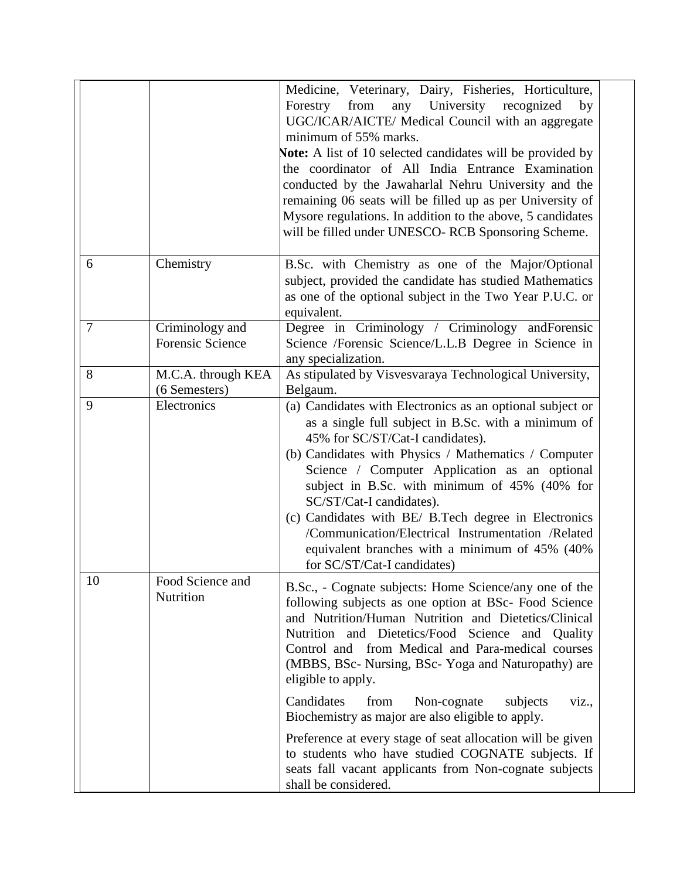|        |                                            | Medicine, Veterinary, Dairy, Fisheries, Horticulture,<br>from<br>any University<br>Forestry<br>recognized<br>by<br>UGC/ICAR/AICTE/ Medical Council with an aggregate<br>minimum of 55% marks.<br><b>Note:</b> A list of 10 selected candidates will be provided by<br>the coordinator of All India Entrance Examination<br>conducted by the Jawaharlal Nehru University and the<br>remaining 06 seats will be filled up as per University of<br>Mysore regulations. In addition to the above, 5 candidates<br>will be filled under UNESCO-RCB Sponsoring Scheme.                                                                                                                  |
|--------|--------------------------------------------|-----------------------------------------------------------------------------------------------------------------------------------------------------------------------------------------------------------------------------------------------------------------------------------------------------------------------------------------------------------------------------------------------------------------------------------------------------------------------------------------------------------------------------------------------------------------------------------------------------------------------------------------------------------------------------------|
| 6      | Chemistry                                  | B.Sc. with Chemistry as one of the Major/Optional<br>subject, provided the candidate has studied Mathematics<br>as one of the optional subject in the Two Year P.U.C. or<br>equivalent.                                                                                                                                                                                                                                                                                                                                                                                                                                                                                           |
| $\tau$ | Criminology and<br><b>Forensic Science</b> | Degree in Criminology / Criminology and Forensic<br>Science /Forensic Science/L.L.B Degree in Science in<br>any specialization.                                                                                                                                                                                                                                                                                                                                                                                                                                                                                                                                                   |
| 8      | M.C.A. through KEA                         | As stipulated by Visvesvaraya Technological University,                                                                                                                                                                                                                                                                                                                                                                                                                                                                                                                                                                                                                           |
| 9      | (6 Semesters)<br>Electronics               | Belgaum.<br>(a) Candidates with Electronics as an optional subject or<br>as a single full subject in B.Sc. with a minimum of<br>45% for SC/ST/Cat-I candidates).<br>(b) Candidates with Physics / Mathematics / Computer<br>Science / Computer Application as an optional<br>subject in B.Sc. with minimum of 45% (40% for<br>SC/ST/Cat-I candidates).<br>(c) Candidates with BE/ B.Tech degree in Electronics<br>/Communication/Electrical Instrumentation /Related<br>equivalent branches with a minimum of 45% (40%<br>for SC/ST/Cat-I candidates)                                                                                                                             |
| 10     | Food Science and<br>Nutrition              | B.Sc., - Cognate subjects: Home Science/any one of the<br>following subjects as one option at BSc- Food Science<br>and Nutrition/Human Nutrition and Dietetics/Clinical<br>Nutrition and Dietetics/Food Science and Quality<br>Control and from Medical and Para-medical courses<br>(MBBS, BSc- Nursing, BSc- Yoga and Naturopathy) are<br>eligible to apply.<br>Candidates<br>from<br>Non-cognate<br>subjects<br>viz.,<br>Biochemistry as major are also eligible to apply.<br>Preference at every stage of seat allocation will be given<br>to students who have studied COGNATE subjects. If<br>seats fall vacant applicants from Non-cognate subjects<br>shall be considered. |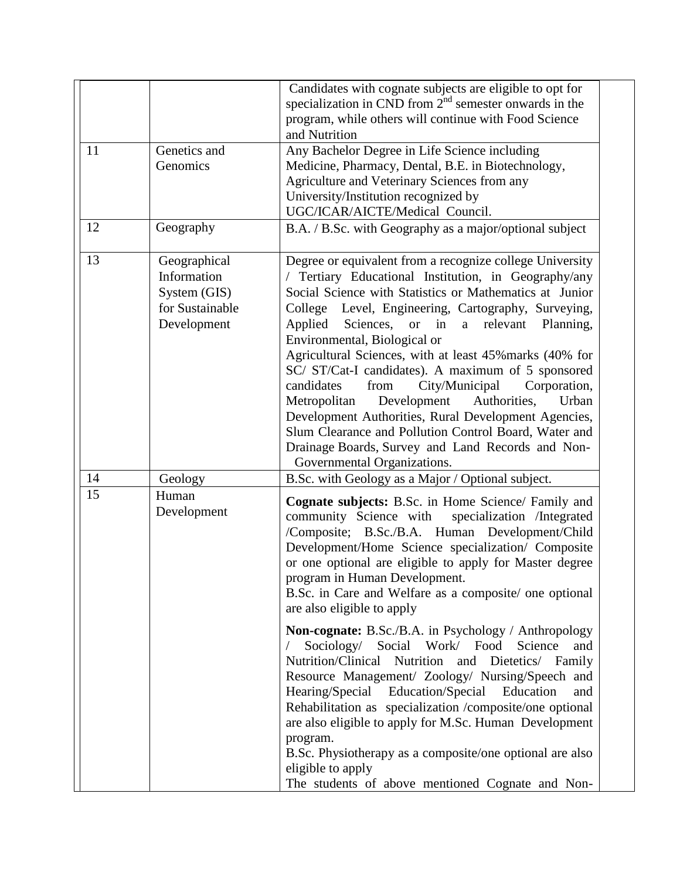| 11 | Genetics and<br>Genomics                                                      | Candidates with cognate subjects are eligible to opt for<br>specialization in CND from $2nd$ semester onwards in the<br>program, while others will continue with Food Science<br>and Nutrition<br>Any Bachelor Degree in Life Science including<br>Medicine, Pharmacy, Dental, B.E. in Biotechnology,<br>Agriculture and Veterinary Sciences from any<br>University/Institution recognized by                                                                                                                                                                                                                                                                                                                                                                           |
|----|-------------------------------------------------------------------------------|-------------------------------------------------------------------------------------------------------------------------------------------------------------------------------------------------------------------------------------------------------------------------------------------------------------------------------------------------------------------------------------------------------------------------------------------------------------------------------------------------------------------------------------------------------------------------------------------------------------------------------------------------------------------------------------------------------------------------------------------------------------------------|
| 12 | Geography                                                                     | UGC/ICAR/AICTE/Medical Council.<br>B.A. / B.Sc. with Geography as a major/optional subject                                                                                                                                                                                                                                                                                                                                                                                                                                                                                                                                                                                                                                                                              |
| 13 | Geographical<br>Information<br>System (GIS)<br>for Sustainable<br>Development | Degree or equivalent from a recognize college University<br>/ Tertiary Educational Institution, in Geography/any<br>Social Science with Statistics or Mathematics at Junior<br>College<br>Level, Engineering, Cartography, Surveying,<br>Sciences, or in<br>Applied<br>relevant<br>Planning,<br>a<br>Environmental, Biological or<br>Agricultural Sciences, with at least 45% marks (40% for<br>SC/ ST/Cat-I candidates). A maximum of 5 sponsored<br>candidates<br>from<br>City/Municipal<br>Corporation,<br>Authorities,<br>Metropolitan<br>Development<br>Urban<br>Development Authorities, Rural Development Agencies,<br>Slum Clearance and Pollution Control Board, Water and<br>Drainage Boards, Survey and Land Records and Non-<br>Governmental Organizations. |
| 14 | Geology                                                                       | B.Sc. with Geology as a Major / Optional subject.                                                                                                                                                                                                                                                                                                                                                                                                                                                                                                                                                                                                                                                                                                                       |
| 15 | Human<br>Development                                                          | <b>Cognate subjects:</b> B.Sc. in Home Science/ Family and<br>community Science with<br>specialization /Integrated<br>/Composite; B.Sc./B.A. Human Development/Child<br>Development/Home Science specialization/ Composite<br>or one optional are eligible to apply for Master degree<br>program in Human Development.<br>B.Sc. in Care and Welfare as a composite/ one optional<br>are also eligible to apply                                                                                                                                                                                                                                                                                                                                                          |
|    |                                                                               | Non-cognate: B.Sc./B.A. in Psychology / Anthropology<br>Sociology/ Social Work/ Food<br>Science<br>and<br>Nutrition/Clinical<br>Nutrition and<br>Dietetics/ Family<br>Resource Management/ Zoology/ Nursing/Speech and<br>Hearing/Special Education/Special Education<br>and<br>Rehabilitation as specialization /composite/one optional<br>are also eligible to apply for M.Sc. Human Development<br>program.<br>B.Sc. Physiotherapy as a composite/one optional are also<br>eligible to apply<br>The students of above mentioned Cognate and Non-                                                                                                                                                                                                                     |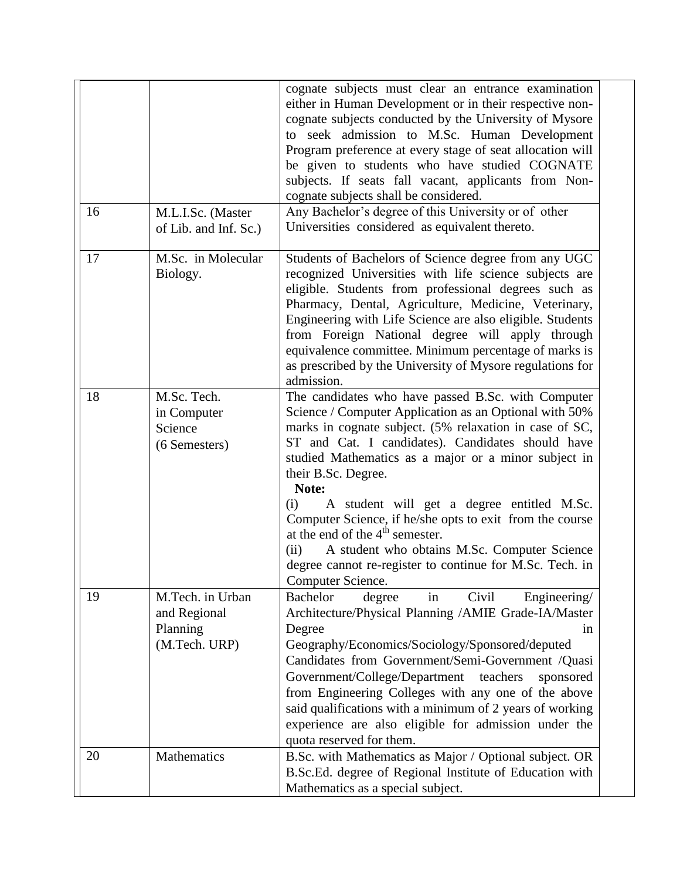|    |                                  | cognate subjects must clear an entrance examination       |
|----|----------------------------------|-----------------------------------------------------------|
|    |                                  | either in Human Development or in their respective non-   |
|    |                                  | cognate subjects conducted by the University of Mysore    |
|    |                                  | to seek admission to M.Sc. Human Development              |
|    |                                  | Program preference at every stage of seat allocation will |
|    |                                  | be given to students who have studied COGNATE             |
|    |                                  | subjects. If seats fall vacant, applicants from Non-      |
|    |                                  | cognate subjects shall be considered.                     |
| 16 | M.L.I.Sc. (Master                | Any Bachelor's degree of this University or of other      |
|    | of Lib. and Inf. Sc.)            | Universities considered as equivalent thereto.            |
|    |                                  |                                                           |
| 17 | $\overline{M}$ .Sc. in Molecular | Students of Bachelors of Science degree from any UGC      |
|    | Biology.                         | recognized Universities with life science subjects are    |
|    |                                  | eligible. Students from professional degrees such as      |
|    |                                  | Pharmacy, Dental, Agriculture, Medicine, Veterinary,      |
|    |                                  | Engineering with Life Science are also eligible. Students |
|    |                                  | from Foreign National degree will apply through           |
|    |                                  | equivalence committee. Minimum percentage of marks is     |
|    |                                  | as prescribed by the University of Mysore regulations for |
|    |                                  | admission.                                                |
| 18 | M.Sc. Tech.                      | The candidates who have passed B.Sc. with Computer        |
|    | in Computer                      | Science / Computer Application as an Optional with 50%    |
|    | Science                          | marks in cognate subject. (5% relaxation in case of SC,   |
|    | (6 Semesters)                    | ST and Cat. I candidates). Candidates should have         |
|    |                                  | studied Mathematics as a major or a minor subject in      |
|    |                                  | their B.Sc. Degree.                                       |
|    |                                  | Note:                                                     |
|    |                                  | A student will get a degree entitled M.Sc.<br>(i)         |
|    |                                  | Computer Science, if he/she opts to exit from the course  |
|    |                                  | at the end of the $4th$ semester.                         |
|    |                                  | A student who obtains M.Sc. Computer Science<br>(ii)      |
|    |                                  | degree cannot re-register to continue for M.Sc. Tech. in  |
|    |                                  | Computer Science.                                         |
| 19 | M.Tech. in Urban                 | Engineering/<br><b>Bachelor</b><br>Civil<br>degree<br>in  |
|    | and Regional                     | Architecture/Physical Planning /AMIE Grade-IA/Master      |
|    | Planning                         | Degree<br>in                                              |
|    | (M.Tech. URP)                    | Geography/Economics/Sociology/Sponsored/deputed           |
|    |                                  | Candidates from Government/Semi-Government /Quasi         |
|    |                                  |                                                           |
|    |                                  | Government/College/Department<br>teachers<br>sponsored    |
|    |                                  | from Engineering Colleges with any one of the above       |
|    |                                  | said qualifications with a minimum of 2 years of working  |
|    |                                  | experience are also eligible for admission under the      |
|    |                                  | quota reserved for them.                                  |
| 20 | Mathematics                      | B.Sc. with Mathematics as Major / Optional subject. OR    |
|    |                                  | B.Sc.Ed. degree of Regional Institute of Education with   |
|    |                                  | Mathematics as a special subject.                         |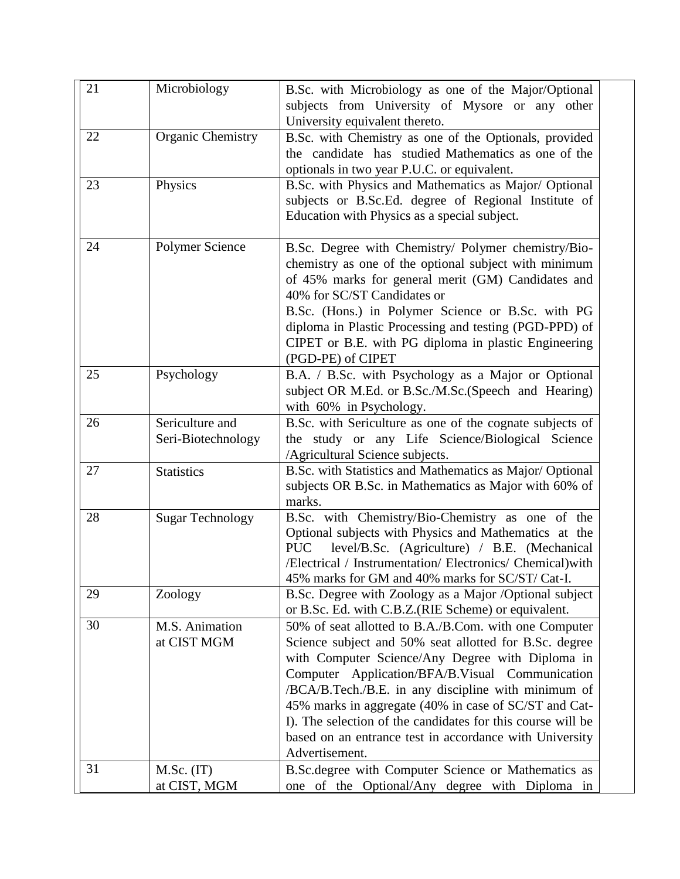| 21 | Microbiology            | B.Sc. with Microbiology as one of the Major/Optional        |
|----|-------------------------|-------------------------------------------------------------|
|    |                         | subjects from University of Mysore or any other             |
|    |                         | University equivalent thereto.                              |
| 22 | Organic Chemistry       | B.Sc. with Chemistry as one of the Optionals, provided      |
|    |                         | the candidate has studied Mathematics as one of the         |
|    |                         | optionals in two year P.U.C. or equivalent.                 |
| 23 | Physics                 | B.Sc. with Physics and Mathematics as Major/ Optional       |
|    |                         | subjects or B.Sc.Ed. degree of Regional Institute of        |
|    |                         | Education with Physics as a special subject.                |
|    |                         |                                                             |
| 24 | Polymer Science         | B.Sc. Degree with Chemistry/ Polymer chemistry/Bio-         |
|    |                         | chemistry as one of the optional subject with minimum       |
|    |                         | of 45% marks for general merit (GM) Candidates and          |
|    |                         | 40% for SC/ST Candidates or                                 |
|    |                         | B.Sc. (Hons.) in Polymer Science or B.Sc. with PG           |
|    |                         | diploma in Plastic Processing and testing (PGD-PPD) of      |
|    |                         | CIPET or B.E. with PG diploma in plastic Engineering        |
|    |                         | (PGD-PE) of CIPET                                           |
| 25 | Psychology              | B.A. / B.Sc. with Psychology as a Major or Optional         |
|    |                         | subject OR M.Ed. or B.Sc./M.Sc.(Speech and Hearing)         |
|    |                         | with 60% in Psychology.                                     |
| 26 | Sericulture and         | B.Sc. with Sericulture as one of the cognate subjects of    |
|    | Seri-Biotechnology      | the study or any Life Science/Biological Science            |
|    |                         | /Agricultural Science subjects.                             |
| 27 | <b>Statistics</b>       | B.Sc. with Statistics and Mathematics as Major/ Optional    |
|    |                         | subjects OR B.Sc. in Mathematics as Major with 60% of       |
|    |                         | marks.                                                      |
| 28 | <b>Sugar Technology</b> | B.Sc. with Chemistry/Bio-Chemistry as one of the            |
|    |                         | Optional subjects with Physics and Mathematics at the       |
|    |                         | <b>PUC</b><br>level/B.Sc. (Agriculture) / B.E. (Mechanical  |
|    |                         | /Electrical / Instrumentation/ Electronics/ Chemical) with  |
|    |                         | 45% marks for GM and 40% marks for SC/ST/ Cat-I.            |
| 29 | Zoology                 | B.Sc. Degree with Zoology as a Major /Optional subject      |
|    |                         | or B.Sc. Ed. with C.B.Z.(RIE Scheme) or equivalent.         |
| 30 | M.S. Animation          | 50% of seat allotted to B.A./B.Com. with one Computer       |
|    | at CIST MGM             | Science subject and 50% seat allotted for B.Sc. degree      |
|    |                         | with Computer Science/Any Degree with Diploma in            |
|    |                         | Computer Application/BFA/B.Visual Communication             |
|    |                         | /BCA/B.Tech./B.E. in any discipline with minimum of         |
|    |                         | 45% marks in aggregate (40% in case of SC/ST and Cat-       |
|    |                         | I). The selection of the candidates for this course will be |
|    |                         | based on an entrance test in accordance with University     |
|    |                         | Advertisement.                                              |
| 31 | M.Sc. (IT)              | B.Sc.degree with Computer Science or Mathematics as         |
|    | at CIST, MGM            | one of the Optional/Any degree with Diploma in              |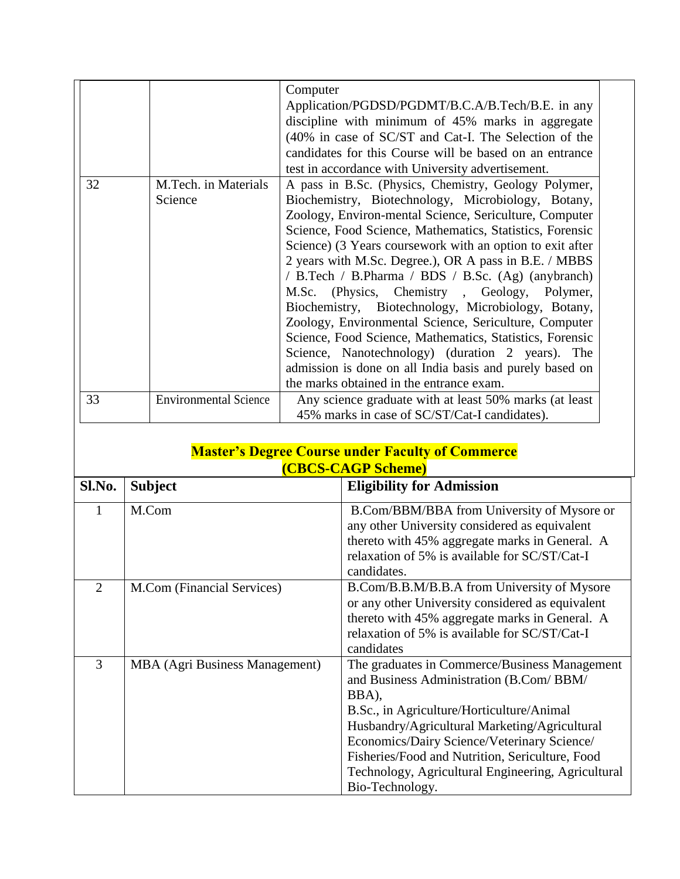|                                    |                                 | Computer                                                                                                                                                              |
|------------------------------------|---------------------------------|-----------------------------------------------------------------------------------------------------------------------------------------------------------------------|
|                                    |                                 | Application/PGDSD/PGDMT/B.C.A/B.Tech/B.E. in any                                                                                                                      |
|                                    |                                 | discipline with minimum of 45% marks in aggregate                                                                                                                     |
|                                    |                                 | (40% in case of SC/ST and Cat-I. The Selection of the                                                                                                                 |
|                                    |                                 | candidates for this Course will be based on an entrance                                                                                                               |
|                                    |                                 | test in accordance with University advertisement.                                                                                                                     |
| 32                                 | M.Tech. in Materials<br>Science | A pass in B.Sc. (Physics, Chemistry, Geology Polymer,<br>Biochemistry, Biotechnology, Microbiology, Botany,<br>Zoology, Environ-mental Science, Sericulture, Computer |
|                                    |                                 | Science, Food Science, Mathematics, Statistics, Forensic                                                                                                              |
|                                    |                                 | Science) (3 Years coursework with an option to exit after                                                                                                             |
|                                    |                                 | 2 years with M.Sc. Degree.), OR A pass in B.E. / MBBS                                                                                                                 |
|                                    |                                 | / B.Tech / B.Pharma / BDS / B.Sc. (Ag) (anybranch)                                                                                                                    |
|                                    |                                 | M.Sc. (Physics, Chemistry, Geology, Polymer,                                                                                                                          |
|                                    |                                 | Biochemistry, Biotechnology, Microbiology, Botany,                                                                                                                    |
|                                    |                                 | Zoology, Environmental Science, Sericulture, Computer                                                                                                                 |
|                                    |                                 | Science, Food Science, Mathematics, Statistics, Forensic                                                                                                              |
|                                    |                                 | Science, Nanotechnology) (duration 2 years). The                                                                                                                      |
|                                    |                                 | admission is done on all India basis and purely based on                                                                                                              |
|                                    |                                 | the marks obtained in the entrance exam.                                                                                                                              |
| 33<br><b>Environmental Science</b> |                                 | Any science graduate with at least 50% marks (at least                                                                                                                |
|                                    |                                 | 45% marks in case of SC/ST/Cat-I candidates).                                                                                                                         |

#### **Master's Degree Course under Faculty of Commerce (CBCS-CAGP Scheme)**

| Sl.No.         | <b>Subject</b>                        | <b>Eligibility for Admission</b>                                                                                                                                                                                                                                                                                                                                           |
|----------------|---------------------------------------|----------------------------------------------------------------------------------------------------------------------------------------------------------------------------------------------------------------------------------------------------------------------------------------------------------------------------------------------------------------------------|
|                | M.Com                                 | B.Com/BBM/BBA from University of Mysore or<br>any other University considered as equivalent<br>thereto with 45% aggregate marks in General. A<br>relaxation of 5% is available for SC/ST/Cat-I<br>candidates.                                                                                                                                                              |
| $\overline{2}$ | M.Com (Financial Services)            | B.Com/B.B.M/B.B.A from University of Mysore<br>or any other University considered as equivalent<br>thereto with 45% aggregate marks in General. A<br>relaxation of 5% is available for SC/ST/Cat-I<br>candidates                                                                                                                                                           |
| 3              | <b>MBA</b> (Agri Business Management) | The graduates in Commerce/Business Management<br>and Business Administration (B.Com/BBM/<br>BBA),<br>B.Sc., in Agriculture/Horticulture/Animal<br>Husbandry/Agricultural Marketing/Agricultural<br>Economics/Dairy Science/Veterinary Science/<br>Fisheries/Food and Nutrition, Sericulture, Food<br>Technology, Agricultural Engineering, Agricultural<br>Bio-Technology. |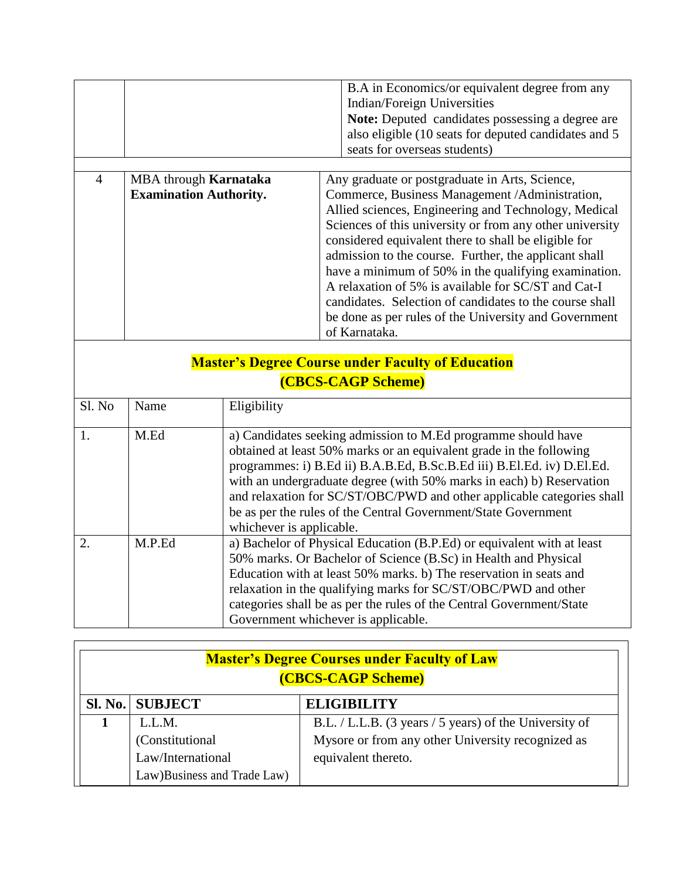|                |                               | B.A in Economics/or equivalent degree from any<br>Indian/Foreign Universities<br><b>Note:</b> Deputed candidates possessing a degree are<br>also eligible (10 seats for deputed candidates and 5)<br>seats for overseas students) |  |
|----------------|-------------------------------|-----------------------------------------------------------------------------------------------------------------------------------------------------------------------------------------------------------------------------------|--|
|                |                               |                                                                                                                                                                                                                                   |  |
| $\overline{A}$ | MBA through Karnataka         | Any graduate or postgraduate in Arts, Science,                                                                                                                                                                                    |  |
|                | <b>Examination Authority.</b> | Commerce, Business Management /Administration,                                                                                                                                                                                    |  |
|                |                               | Allied sciences, Engineering and Technology, Medical                                                                                                                                                                              |  |
|                |                               | Sciences of this university or from any other university                                                                                                                                                                          |  |
|                |                               | considered equivalent there to shall be eligible for                                                                                                                                                                              |  |
|                |                               | admission to the course. Further, the applicant shall                                                                                                                                                                             |  |
|                |                               | have a minimum of 50% in the qualifying examination.                                                                                                                                                                              |  |

| $\frac{1}{1000}$ a numerical of $\frac{1}{20}$ of the distribution of $\frac{1}{1000}$ |
|----------------------------------------------------------------------------------------|
| A relaxation of 5% is available for SC/ST and Cat-I                                    |
| candidates. Selection of candidates to the course shall                                |
| be done as per rules of the University and Government                                  |
| of Karnataka.                                                                          |
|                                                                                        |

# **Master's Degree Course under Faculty of Education (CBCS-CAGP Scheme)**

| Sl. No           | Name   | Eligibility                                                                                                                                                                                                                                                                                                                                                                                                                                                    |
|------------------|--------|----------------------------------------------------------------------------------------------------------------------------------------------------------------------------------------------------------------------------------------------------------------------------------------------------------------------------------------------------------------------------------------------------------------------------------------------------------------|
|                  | M.Ed   | a) Candidates seeking admission to M.Ed programme should have<br>obtained at least 50% marks or an equivalent grade in the following<br>programmes: i) B.Ed ii) B.A.B.Ed, B.Sc.B.Ed iii) B.El.Ed. iv) D.El.Ed.<br>with an undergraduate degree (with 50% marks in each) b) Reservation<br>and relaxation for SC/ST/OBC/PWD and other applicable categories shall<br>be as per the rules of the Central Government/State Government<br>whichever is applicable. |
| $\overline{2}$ . | M.P.Ed | a) Bachelor of Physical Education (B.P.Ed) or equivalent with at least<br>50% marks. Or Bachelor of Science (B.Sc) in Health and Physical<br>Education with at least 50% marks. b) The reservation in seats and<br>relaxation in the qualifying marks for SC/ST/OBC/PWD and other<br>categories shall be as per the rules of the Central Government/State<br>Government whichever is applicable.                                                               |

| <b>Master's Degree Courses under Faculty of Law</b><br>(CBCS-CAGP Scheme) |                                                        |  |
|---------------------------------------------------------------------------|--------------------------------------------------------|--|
| <b>SI. No.   SUBJECT</b>                                                  | <b>ELIGIBILITY</b>                                     |  |
| L.L.M.                                                                    | B.L. / L.L.B. (3 years / 5 years) of the University of |  |
| (Constitutional)                                                          | Mysore or from any other University recognized as      |  |
| Law/International                                                         | equivalent thereto.                                    |  |
| Law)Business and Trade Law)                                               |                                                        |  |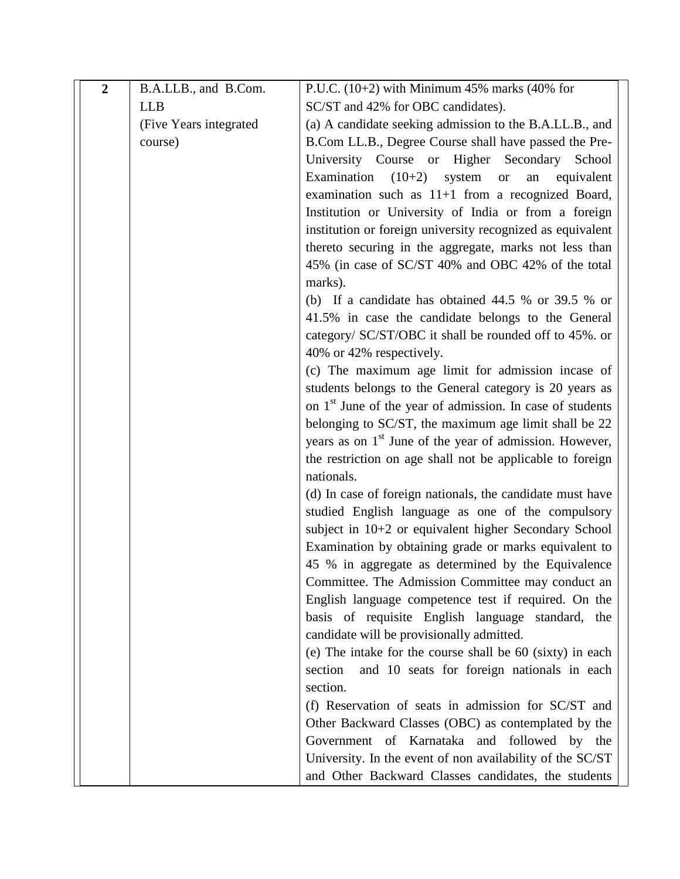| $\overline{2}$ | B.A.LLB., and B.Com.    | P.U.C. $(10+2)$ with Minimum 45% marks $(40\%$ for                    |
|----------------|-------------------------|-----------------------------------------------------------------------|
|                | <b>LLB</b>              | SC/ST and 42% for OBC candidates).                                    |
|                | (Five Years integrated) | (a) A candidate seeking admission to the B.A.LL.B., and               |
|                | course)                 | B.Com LL.B., Degree Course shall have passed the Pre-                 |
|                |                         | University Course or Higher Secondary<br>School                       |
|                |                         | Examination $(10+2)$<br>system<br>equivalent<br><b>or</b><br>an       |
|                |                         | examination such as $11+1$ from a recognized Board,                   |
|                |                         | Institution or University of India or from a foreign                  |
|                |                         | institution or foreign university recognized as equivalent            |
|                |                         | thereto securing in the aggregate, marks not less than                |
|                |                         | 45% (in case of SC/ST 40% and OBC 42% of the total                    |
|                |                         | marks).                                                               |
|                |                         | (b) If a candidate has obtained $44.5 %$ or 39.5 % or                 |
|                |                         | 41.5% in case the candidate belongs to the General                    |
|                |                         | category/ SC/ST/OBC it shall be rounded off to 45%. or                |
|                |                         | 40% or 42% respectively.                                              |
|                |                         | (c) The maximum age limit for admission incase of                     |
|                |                         | students belongs to the General category is 20 years as               |
|                |                         | on 1 <sup>st</sup> June of the year of admission. In case of students |
|                |                         | belonging to SC/ST, the maximum age limit shall be 22                 |
|                |                         | years as on 1 <sup>st</sup> June of the year of admission. However,   |
|                |                         | the restriction on age shall not be applicable to foreign             |
|                |                         | nationals.                                                            |
|                |                         | (d) In case of foreign nationals, the candidate must have             |
|                |                         | studied English language as one of the compulsory                     |
|                |                         | subject in 10+2 or equivalent higher Secondary School                 |
|                |                         | Examination by obtaining grade or marks equivalent to                 |
|                |                         | 45 % in aggregate as determined by the Equivalence                    |
|                |                         | Committee. The Admission Committee may conduct an                     |
|                |                         | English language competence test if required. On the                  |
|                |                         | basis of requisite English language standard, the                     |
|                |                         | candidate will be provisionally admitted.                             |
|                |                         | (e) The intake for the course shall be 60 (sixty) in each             |
|                |                         | and 10 seats for foreign nationals in each<br>section                 |
|                |                         | section.                                                              |
|                |                         | (f) Reservation of seats in admission for SC/ST and                   |
|                |                         | Other Backward Classes (OBC) as contemplated by the                   |
|                |                         | Government of Karnataka and followed by the                           |
|                |                         | University. In the event of non availability of the SC/ST             |
|                |                         | and Other Backward Classes candidates, the students                   |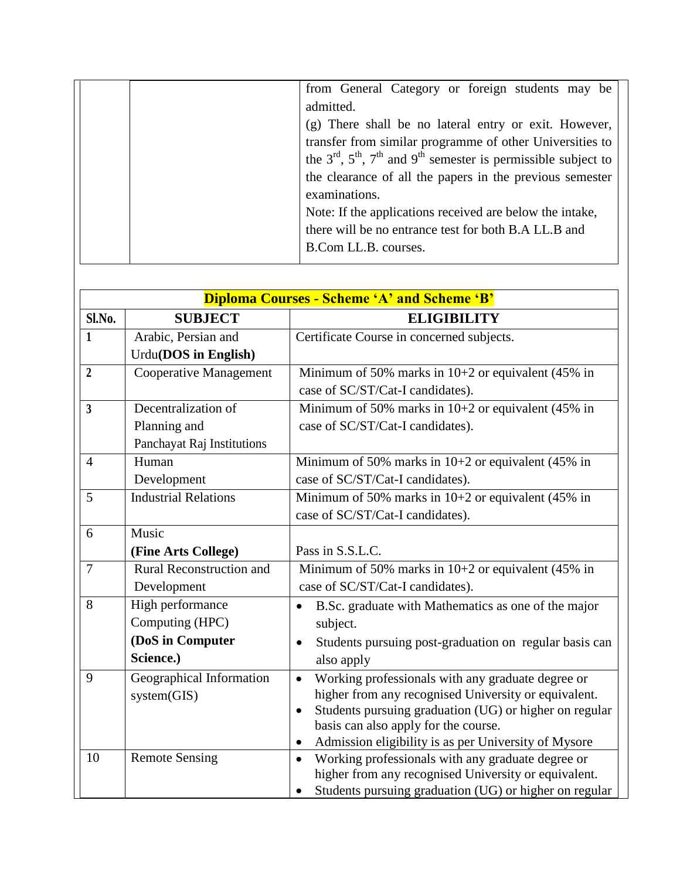|  | from General Category or foreign students may be                       |
|--|------------------------------------------------------------------------|
|  | admitted.                                                              |
|  | (g) There shall be no lateral entry or exit. However,                  |
|  | transfer from similar programme of other Universities to               |
|  | the $3rd$ , $5th$ , $7th$ and $9th$ semester is permissible subject to |
|  | the clearance of all the papers in the previous semester               |
|  | examinations.                                                          |
|  | Note: If the applications received are below the intake,               |
|  | there will be no entrance test for both B.A LL.B and                   |
|  | B.Com LL.B. courses.                                                   |
|  |                                                                        |

|                | <b>Diploma Courses - Scheme 'A' and Scheme 'B'</b> |                                                                                                                        |  |  |
|----------------|----------------------------------------------------|------------------------------------------------------------------------------------------------------------------------|--|--|
| Sl.No.         | <b>SUBJECT</b>                                     | <b>ELIGIBILITY</b>                                                                                                     |  |  |
| $\mathbf{1}$   | Arabic, Persian and                                | Certificate Course in concerned subjects.                                                                              |  |  |
|                | Urdu(DOS in English)                               |                                                                                                                        |  |  |
| $\overline{2}$ | <b>Cooperative Management</b>                      | Minimum of 50% marks in 10+2 or equivalent (45% in                                                                     |  |  |
|                |                                                    | case of SC/ST/Cat-I candidates).                                                                                       |  |  |
| $\overline{3}$ | Decentralization of                                | Minimum of 50% marks in $10+2$ or equivalent (45% in                                                                   |  |  |
|                | Planning and                                       | case of SC/ST/Cat-I candidates).                                                                                       |  |  |
|                | Panchayat Raj Institutions                         |                                                                                                                        |  |  |
| $\overline{4}$ | Human                                              | Minimum of 50% marks in $10+2$ or equivalent (45% in                                                                   |  |  |
|                | Development                                        | case of SC/ST/Cat-I candidates).                                                                                       |  |  |
| 5              | <b>Industrial Relations</b>                        | Minimum of 50% marks in $10+2$ or equivalent (45% in                                                                   |  |  |
|                |                                                    | case of SC/ST/Cat-I candidates).                                                                                       |  |  |
| 6              | Music                                              |                                                                                                                        |  |  |
|                | (Fine Arts College)                                | Pass in S.S.L.C.                                                                                                       |  |  |
| $\overline{7}$ | <b>Rural Reconstruction and</b>                    | Minimum of 50% marks in $10+2$ or equivalent (45% in                                                                   |  |  |
|                | Development                                        | case of SC/ST/Cat-I candidates).                                                                                       |  |  |
| 8              | High performance                                   | B.Sc. graduate with Mathematics as one of the major<br>$\bullet$                                                       |  |  |
|                | Computing (HPC)                                    | subject.                                                                                                               |  |  |
|                | (DoS in Computer                                   | Students pursuing post-graduation on regular basis can<br>$\bullet$                                                    |  |  |
|                | Science.)                                          | also apply                                                                                                             |  |  |
| 9              | Geographical Information                           | Working professionals with any graduate degree or<br>$\bullet$                                                         |  |  |
|                | system(GIS)                                        | higher from any recognised University or equivalent.                                                                   |  |  |
|                |                                                    | Students pursuing graduation (UG) or higher on regular<br>$\bullet$                                                    |  |  |
|                |                                                    | basis can also apply for the course.                                                                                   |  |  |
|                |                                                    | Admission eligibility is as per University of Mysore<br>$\bullet$                                                      |  |  |
| 10             | <b>Remote Sensing</b>                              | Working professionals with any graduate degree or<br>$\bullet$<br>higher from any recognised University or equivalent. |  |  |
|                |                                                    | Students pursuing graduation (UG) or higher on regular<br>$\bullet$                                                    |  |  |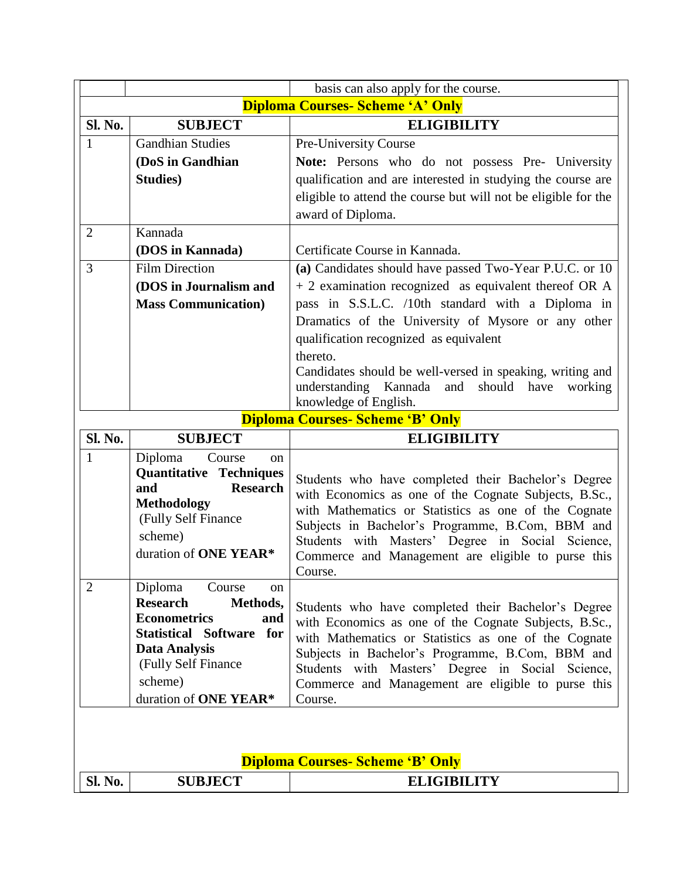|                                         | basis can also apply for the course.         |                                                                |
|-----------------------------------------|----------------------------------------------|----------------------------------------------------------------|
|                                         | <b>Diploma Courses- Scheme 'A' Only</b>      |                                                                |
| <b>Sl. No.</b>                          | <b>SUBJECT</b><br><b>ELIGIBILITY</b>         |                                                                |
| $\mathbf{1}$                            | <b>Gandhian Studies</b>                      | Pre-University Course                                          |
|                                         | (DoS in Gandhian                             | Note: Persons who do not possess Pre- University               |
|                                         | <b>Studies</b> )                             | qualification and are interested in studying the course are    |
|                                         |                                              | eligible to attend the course but will not be eligible for the |
|                                         |                                              | award of Diploma.                                              |
| $\overline{2}$                          | Kannada                                      |                                                                |
|                                         | (DOS in Kannada)                             | Certificate Course in Kannada.                                 |
| 3                                       | <b>Film Direction</b>                        | (a) Candidates should have passed Two-Year P.U.C. or 10        |
|                                         | (DOS in Journalism and                       | + 2 examination recognized as equivalent thereof OR A          |
|                                         | <b>Mass Communication</b> )                  | pass in S.S.L.C. /10th standard with a Diploma in              |
|                                         |                                              | Dramatics of the University of Mysore or any other             |
|                                         |                                              | qualification recognized as equivalent                         |
|                                         |                                              | thereto.                                                       |
|                                         |                                              | Candidates should be well-versed in speaking, writing and      |
|                                         |                                              | understanding Kannada<br>and<br>should<br>have<br>working      |
|                                         | knowledge of English.                        |                                                                |
| <b>Diploma Courses- Scheme 'B' Only</b> |                                              |                                                                |
| Sl. No.                                 | <b>SUBJECT</b>                               | <b>ELIGIBILITY</b>                                             |
| $\mathbf{1}$                            | Diploma<br>Course<br><sub>on</sub>           |                                                                |
|                                         |                                              |                                                                |
|                                         | <b>Quantitative Techniques</b>               | Students who have completed their Bachelor's Degree            |
|                                         | <b>Research</b><br>and<br><b>Methodology</b> | with Economics as one of the Cognate Subjects, B.Sc.,          |
|                                         | (Fully Self Finance                          | with Mathematics or Statistics as one of the Cognate           |
|                                         | scheme)                                      | Subjects in Bachelor's Programme, B.Com, BBM and               |
|                                         | duration of ONE YEAR*                        | Students with Masters' Degree in Social Science,               |
|                                         |                                              | Commerce and Management are eligible to purse this<br>Course.  |
| $\overline{2}$                          | Diploma<br>Course<br>on                      |                                                                |
|                                         | <b>Research</b><br>Methods,                  | Students who have completed their Bachelor's Degree            |
|                                         | <b>Econometrics</b><br>and                   | with Economics as one of the Cognate Subjects, B.Sc.,          |
|                                         | Statistical Software for                     | with Mathematics or Statistics as one of the Cognate           |
|                                         | <b>Data Analysis</b><br>(Fully Self Finance  | Subjects in Bachelor's Programme, B.Com, BBM and               |
|                                         | scheme)                                      | Students with Masters' Degree in Social Science,               |
|                                         | duration of ONE YEAR*                        | Commerce and Management are eligible to purse this<br>Course.  |
|                                         |                                              |                                                                |
|                                         |                                              |                                                                |
|                                         |                                              |                                                                |
| Sl. No.                                 | <b>SUBJECT</b>                               | <b>Diploma Courses- Scheme 'B' Only</b><br><b>ELIGIBILITY</b>  |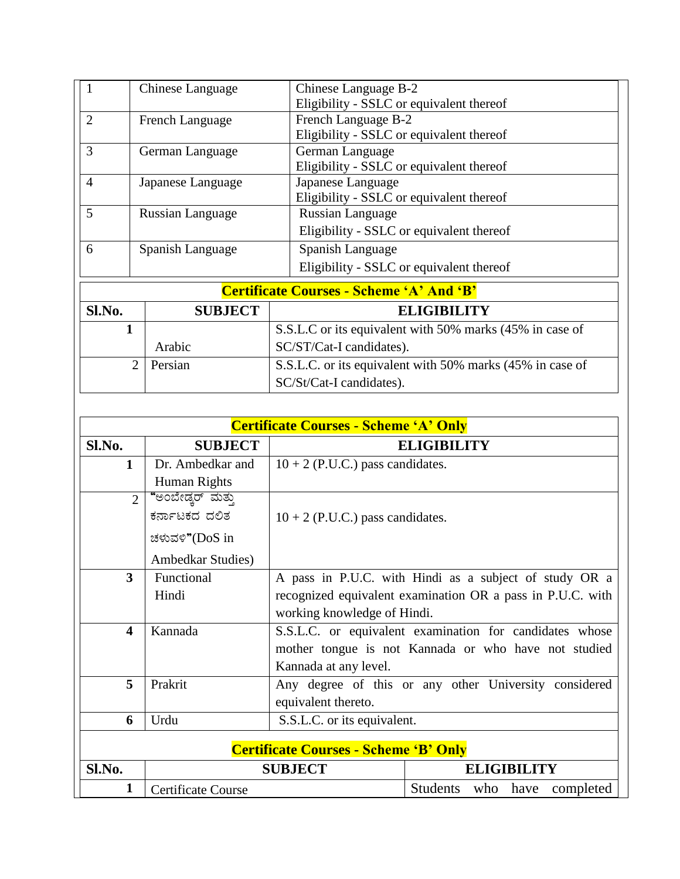| 1                         | Chinese Language        | Chinese Language B-2                                      |  |
|---------------------------|-------------------------|-----------------------------------------------------------|--|
|                           |                         | Eligibility - SSLC or equivalent thereof                  |  |
| $\overline{2}$            | French Language         | French Language B-2                                       |  |
|                           |                         | Eligibility - SSLC or equivalent thereof                  |  |
| 3                         | German Language         | German Language                                           |  |
|                           |                         | Eligibility - SSLC or equivalent thereof                  |  |
| $\overline{4}$            | Japanese Language       | Japanese Language                                         |  |
|                           |                         | Eligibility - SSLC or equivalent thereof                  |  |
| 5                         | <b>Russian Language</b> | <b>Russian Language</b>                                   |  |
|                           |                         | Eligibility - SSLC or equivalent thereof                  |  |
| 6                         | Spanish Language        | Spanish Language                                          |  |
|                           |                         | Eligibility - SSLC or equivalent thereof                  |  |
|                           |                         | <b>Certificate Courses - Scheme 'A' And 'B'</b>           |  |
| Sl.No.                    | <b>SUBJECT</b>          | <b>ELIGIBILITY</b>                                        |  |
|                           |                         | S.S.L.C or its equivalent with 50% marks (45% in case of  |  |
|                           | Arabic                  | SC/ST/Cat-I candidates).                                  |  |
| $\overline{2}$<br>Persian |                         | S.S.L.C. or its equivalent with 50% marks (45% in case of |  |
|                           |                         | SC/St/Cat-I candidates).                                  |  |

| <b>Certificate Courses - Scheme 'A' Only</b> |                                              |                                                         |                                                            |  |  |
|----------------------------------------------|----------------------------------------------|---------------------------------------------------------|------------------------------------------------------------|--|--|
| Sl.No.                                       | <b>SUBJECT</b>                               |                                                         | <b>ELIGIBILITY</b>                                         |  |  |
| 1                                            | Dr. Ambedkar and                             | $10 + 2$ (P.U.C.) pass candidates.                      |                                                            |  |  |
|                                              | Human Rights                                 |                                                         |                                                            |  |  |
| $\overline{2}$                               | "ಅಂಬೇಡ್ಕರ್ ಮತ್ತು                             |                                                         |                                                            |  |  |
|                                              | ಕರ್ನಾಟಕದ ದಲಿತ                                | $10 + 2$ (P.U.C.) pass candidates.                      |                                                            |  |  |
|                                              | ಚಳುವಳಿ"(DoS in                               |                                                         |                                                            |  |  |
|                                              | <b>Ambedkar Studies</b> )                    |                                                         |                                                            |  |  |
| 3                                            | Functional                                   |                                                         | A pass in P.U.C. with Hindi as a subject of study OR a     |  |  |
|                                              | Hindi                                        |                                                         | recognized equivalent examination OR a pass in P.U.C. with |  |  |
|                                              |                                              | working knowledge of Hindi.                             |                                                            |  |  |
| $\overline{\mathbf{4}}$                      | Kannada                                      | S.S.L.C. or equivalent examination for candidates whose |                                                            |  |  |
|                                              |                                              | mother tongue is not Kannada or who have not studied    |                                                            |  |  |
|                                              |                                              | Kannada at any level.                                   |                                                            |  |  |
| 5                                            | Prakrit                                      |                                                         | Any degree of this or any other University considered      |  |  |
|                                              |                                              | equivalent thereto.                                     |                                                            |  |  |
| 6                                            | Urdu                                         | S.S.L.C. or its equivalent.                             |                                                            |  |  |
|                                              | <b>Certificate Courses - Scheme 'B' Only</b> |                                                         |                                                            |  |  |
| Sl.No.                                       | <b>SUBJECT</b>                               |                                                         | <b>ELIGIBILITY</b>                                         |  |  |
| 1                                            | Certificate Course                           |                                                         | Students who have<br>completed                             |  |  |